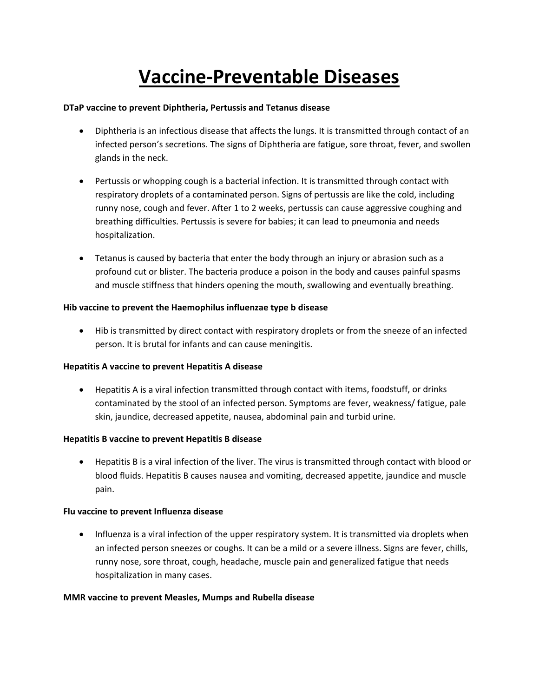# **Vaccine‐Preventable Diseases**

#### **DTaP vaccine to prevent Diphtheria, Pertussis and Tetanus disease**

- Diphtheria is an infectious disease that affects the lungs. It is transmitted through contact of an infected person's secretions. The signs of Diphtheria are fatigue, sore throat, fever, and swollen glands in the neck.
- Pertussis or whopping cough is a bacterial infection. It is transmitted through contact with respiratory droplets of a contaminated person. Signs of pertussis are like the cold, including runny nose, cough and fever. After 1 to 2 weeks, pertussis can cause aggressive coughing and breathing difficulties. Pertussis is severe for babies; it can lead to pneumonia and needs hospitalization.
- Tetanus is caused by bacteria that enter the body through an injury or abrasion such as a profound cut or blister. The bacteria produce a poison in the body and causes painful spasms and muscle stiffness that hinders opening the mouth, swallowing and eventually breathing.

# **Hib vaccine to prevent the Haemophilus influenzae type b disease**

• Hib is transmitted by direct contact with respiratory droplets or from the sneeze of an infected person. It is brutal for infants and can cause meningitis.

#### **Hepatitis A vaccine to prevent Hepatitis A disease**

• Hepatitis A is a viral infection transmitted through contact with items, foodstuff, or drinks contaminated by the stool of an infected person. Symptoms are fever, weakness/ fatigue, pale skin, jaundice, decreased appetite, nausea, abdominal pain and turbid urine.

#### **Hepatitis B vaccine to prevent Hepatitis B disease**

• Hepatitis B is a viral infection of the liver. The virus is transmitted through contact with blood or blood fluids. Hepatitis B causes nausea and vomiting, decreased appetite, jaundice and muscle pain.

## **Flu vaccine to prevent Influenza disease**

• Influenza is a viral infection of the upper respiratory system. It is transmitted via droplets when an infected person sneezes or coughs. It can be a mild or a severe illness. Signs are fever, chills, runny nose, sore throat, cough, headache, muscle pain and generalized fatigue that needs hospitalization in many cases.

#### **MMR vaccine to prevent Measles, Mumps and Rubella disease**